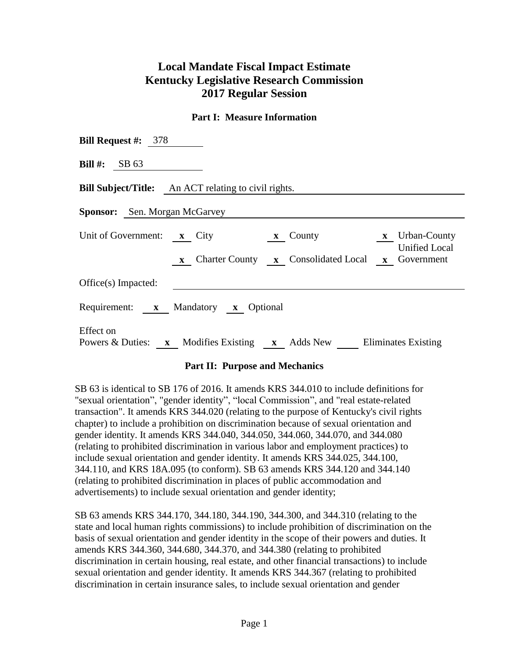## **Local Mandate Fiscal Impact Estimate Kentucky Legislative Research Commission 2017 Regular Session**

## **Part I: Measure Information**

| <b>Bill Request #:</b> $378$                                                                                                                                                                  |  |  |  |  |  |  |
|-----------------------------------------------------------------------------------------------------------------------------------------------------------------------------------------------|--|--|--|--|--|--|
| Bill #: $SB 63$                                                                                                                                                                               |  |  |  |  |  |  |
| <b>Bill Subject/Title:</b> An ACT relating to civil rights.                                                                                                                                   |  |  |  |  |  |  |
| <b>Sponsor:</b> Sen. Morgan McGarvey                                                                                                                                                          |  |  |  |  |  |  |
| Unit of Government: $\mathbf{x}$ City<br>$x$ Urban-County<br>$\mathbf{x}$ County<br><b>Unified Local</b><br>Charter County <b>x</b> Consolidated Local<br><b>x</b> Government<br>$\mathbf{X}$ |  |  |  |  |  |  |
| Office(s) Impacted:                                                                                                                                                                           |  |  |  |  |  |  |
| Requirement: x Mandatory x Optional                                                                                                                                                           |  |  |  |  |  |  |
| Effect on<br>Powers & Duties: x Modifies Existing x Adds New Eliminates Existing                                                                                                              |  |  |  |  |  |  |

## **Part II: Purpose and Mechanics**

SB 63 is identical to SB 176 of 2016. It amends KRS 344.010 to include definitions for "sexual orientation", "gender identity", "local Commission", and "real estate-related transaction". It amends KRS 344.020 (relating to the purpose of Kentucky's civil rights chapter) to include a prohibition on discrimination because of sexual orientation and gender identity. It amends KRS 344.040, 344.050, 344.060, 344.070, and 344.080 (relating to prohibited discrimination in various labor and employment practices) to include sexual orientation and gender identity. It amends KRS 344.025, 344.100, 344.110, and KRS 18A.095 (to conform). SB 63 amends KRS 344.120 and 344.140 (relating to prohibited discrimination in places of public accommodation and advertisements) to include sexual orientation and gender identity;

SB 63 amends KRS 344.170, 344.180, 344.190, 344.300, and 344.310 (relating to the state and local human rights commissions) to include prohibition of discrimination on the basis of sexual orientation and gender identity in the scope of their powers and duties. It amends KRS 344.360, 344.680, 344.370, and 344.380 (relating to prohibited discrimination in certain housing, real estate, and other financial transactions) to include sexual orientation and gender identity. It amends KRS 344.367 (relating to prohibited discrimination in certain insurance sales, to include sexual orientation and gender